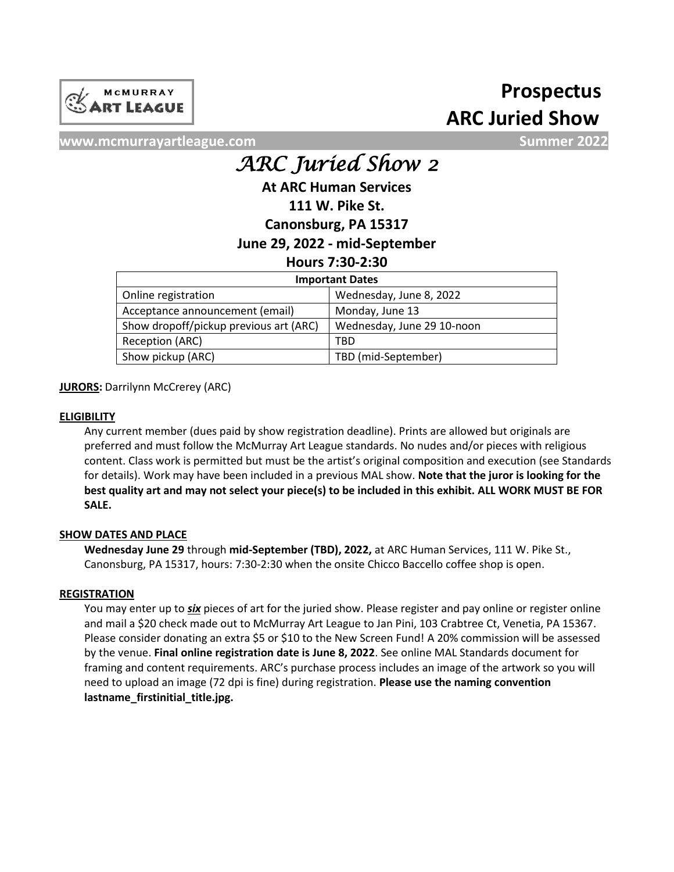

# **ARC Juried Show Prospectus**

**www.mcmurrayartleague.com Summer 2022**

# *ARC Juried Show 2*

**At ARC Human Services**

# **111 W. Pike St.**

**Canonsburg, PA 15317**

# **June 29, 2022 - mid-September**

# **Hours 7:30-2:30**

| <b>Important Dates</b>                 |                            |
|----------------------------------------|----------------------------|
| Online registration                    | Wednesday, June 8, 2022    |
| Acceptance announcement (email)        | Monday, June 13            |
| Show dropoff/pickup previous art (ARC) | Wednesday, June 29 10-noon |
| Reception (ARC)                        | TBD                        |
| Show pickup (ARC)                      | TBD (mid-September)        |

**JURORS: Darrilynn McCrerey (ARC)** 

## **ELIGIBILITY**

Any current member (dues paid by show registration deadline). Prints are allowed but originals are preferred and must follow the McMurray Art League standards. No nudes and/or pieces with religious content. Class work is permitted but must be the artist's original composition and execution (see Standards for details). Work may have been included in a previous MAL show. **Note that the juror is looking for the best quality art and may not select your piece(s) to be included in this exhibit. ALL WORK MUST BE FOR SALE.**

## **SHOW DATES AND PLACE**

**Wednesday June 29** through **mid-September (TBD), 2022,** at ARC Human Services, 111 W. Pike St., Canonsburg, PA 15317, hours: 7:30-2:30 when the onsite Chicco Baccello coffee shop is open.

### **REGISTRATION**

You may enter up to *six* pieces of art for the juried show. Please register and pay online or register online and mail a \$20 check made out to McMurray Art League to Jan Pini, 103 Crabtree Ct, Venetia, PA 15367. Please consider donating an extra \$5 or \$10 to the New Screen Fund! A 20% commission will be assessed by the venue. **Final online registration date is June 8, 2022**. See online MAL Standards document for framing and content requirements. ARC's purchase process includes an image of the artwork so you will need to upload an image (72 dpi is fine) during registration. **Please use the naming convention lastname\_firstinitial\_title.jpg.**